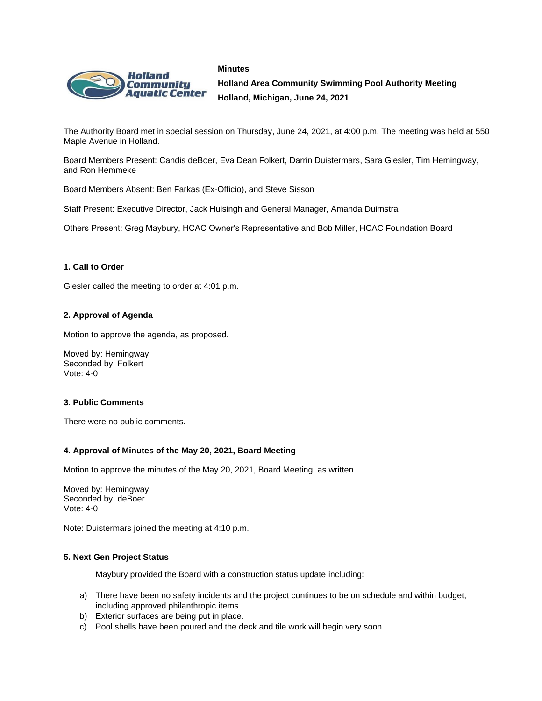



**Holland Area Community Swimming Pool Authority Meeting Holland, Michigan, June 24, 2021**

The Authority Board met in special session on Thursday, June 24, 2021, at 4:00 p.m. The meeting was held at 550 Maple Avenue in Holland.

Board Members Present: Candis deBoer, Eva Dean Folkert, Darrin Duistermars, Sara Giesler, Tim Hemingway, and Ron Hemmeke

Board Members Absent: Ben Farkas (Ex-Officio), and Steve Sisson

Staff Present: Executive Director, Jack Huisingh and General Manager, Amanda Duimstra

Others Present: Greg Maybury, HCAC Owner's Representative and Bob Miller, HCAC Foundation Board

## **1. Call to Order**

Giesler called the meeting to order at 4:01 p.m.

## **2. Approval of Agenda**

Motion to approve the agenda, as proposed.

Moved by: Hemingway Seconded by: Folkert Vote: 4-0

### **3**. **Public Comments**

There were no public comments.

### **4. Approval of Minutes of the May 20, 2021, Board Meeting**

Motion to approve the minutes of the May 20, 2021, Board Meeting, as written.

Moved by: Hemingway Seconded by: deBoer Vote: 4-0

Note: Duistermars joined the meeting at 4:10 p.m.

### **5. Next Gen Project Status**

Maybury provided the Board with a construction status update including:

- a) There have been no safety incidents and the project continues to be on schedule and within budget, including approved philanthropic items
- b) Exterior surfaces are being put in place.
- c) Pool shells have been poured and the deck and tile work will begin very soon.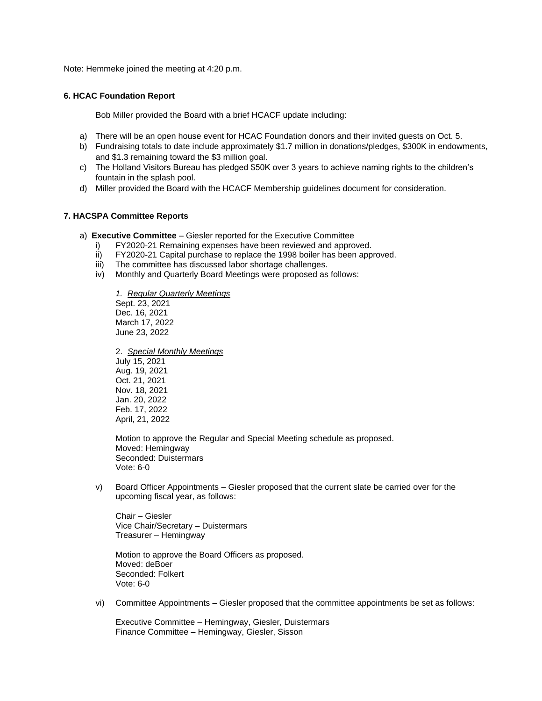Note: Hemmeke joined the meeting at 4:20 p.m.

### **6. HCAC Foundation Report**

Bob Miller provided the Board with a brief HCACF update including:

- a) There will be an open house event for HCAC Foundation donors and their invited guests on Oct. 5.
- b) Fundraising totals to date include approximately \$1.7 million in donations/pledges, \$300K in endowments, and \$1.3 remaining toward the \$3 million goal.
- c) The Holland Visitors Bureau has pledged \$50K over 3 years to achieve naming rights to the children's fountain in the splash pool.
- d) Miller provided the Board with the HCACF Membership guidelines document for consideration.

### **7. HACSPA Committee Reports**

- a) **Executive Committee** Giesler reported for the Executive Committee
	- i) FY2020-21 Remaining expenses have been reviewed and approved.
	- ii) FY2020-21 Capital purchase to replace the 1998 boiler has been approved.
	- iii) The committee has discussed labor shortage challenges.<br>iv) Monthly and Quarterly Board Meetings were proposed as
	- Monthly and Quarterly Board Meetings were proposed as follows:

*1. Regular Quarterly Meetings* Sept. 23, 2021 Dec. 16, 2021 March 17, 2022 June 23, 2022

2. *Special Monthly Meetings* July 15, 2021 Aug. 19, 2021 Oct. 21, 2021 Nov. 18, 2021 Jan. 20, 2022 Feb. 17, 2022 April, 21, 2022

Motion to approve the Regular and Special Meeting schedule as proposed. Moved: Hemingway Seconded: Duistermars Vote: 6-0

v) Board Officer Appointments – Giesler proposed that the current slate be carried over for the upcoming fiscal year, as follows:

Chair – Giesler Vice Chair/Secretary – Duistermars Treasurer – Hemingway

Motion to approve the Board Officers as proposed. Moved: deBoer Seconded: Folkert Vote: 6-0

vi) Committee Appointments – Giesler proposed that the committee appointments be set as follows:

Executive Committee – Hemingway, Giesler, Duistermars Finance Committee – Hemingway, Giesler, Sisson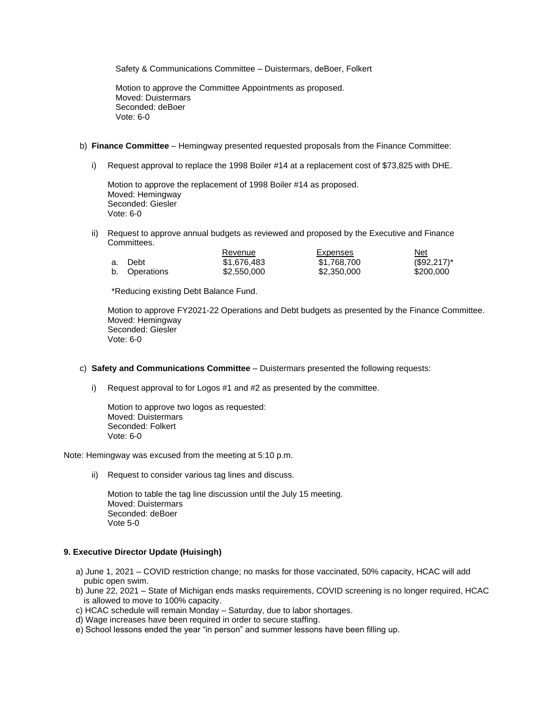Safety & Communications Committee – Duistermars, deBoer, Folkert

Motion to approve the Committee Appointments as proposed. Moved: Duistermars Seconded: deBoer Vote: 6-0

- b) **Finance Committee** Hemingway presented requested proposals from the Finance Committee:
	- i) Request approval to replace the 1998 Boiler #14 at a replacement cost of \$73,825 with DHE.

Motion to approve the replacement of 1998 Boiler #14 as proposed. Moved: Hemingway Seconded: Giesler Vote: 6-0

ii) Request to approve annual budgets as reviewed and proposed by the Executive and Finance Committees.

|    |               | Revenue     | Expenses    | Net           |
|----|---------------|-------------|-------------|---------------|
| а. | Debt          | \$1,676,483 | \$1,768,700 | $($92,217)^*$ |
|    | b. Operations | \$2,550,000 | \$2,350,000 | \$200,000     |

\*Reducing existing Debt Balance Fund.

Motion to approve FY2021-22 Operations and Debt budgets as presented by the Finance Committee. Moved: Hemingway Seconded: Giesler Vote: 6-0

- c) **Safety and Communications Committee** Duistermars presented the following requests:
	- i) Request approval to for Logos #1 and #2 as presented by the committee.

Motion to approve two logos as requested: Moved: Duistermars Seconded: Folkert Vote: 6-0

Note: Hemingway was excused from the meeting at 5:10 p.m.

ii) Request to consider various tag lines and discuss.

Motion to table the tag line discussion until the July 15 meeting. Moved: Duistermars Seconded: deBoer Vote 5-0

# **9. Executive Director Update (Huisingh)**

- a) June 1, 2021 COVID restriction change; no masks for those vaccinated, 50% capacity, HCAC will add pubic open swim.
- b) June 22, 2021 State of Michigan ends masks requirements, COVID screening is no longer required, HCAC is allowed to move to 100% capacity.
- c) HCAC schedule will remain Monday Saturday, due to labor shortages.
- d) Wage increases have been required in order to secure staffing.
- e) School lessons ended the year "in person" and summer lessons have been filling up.